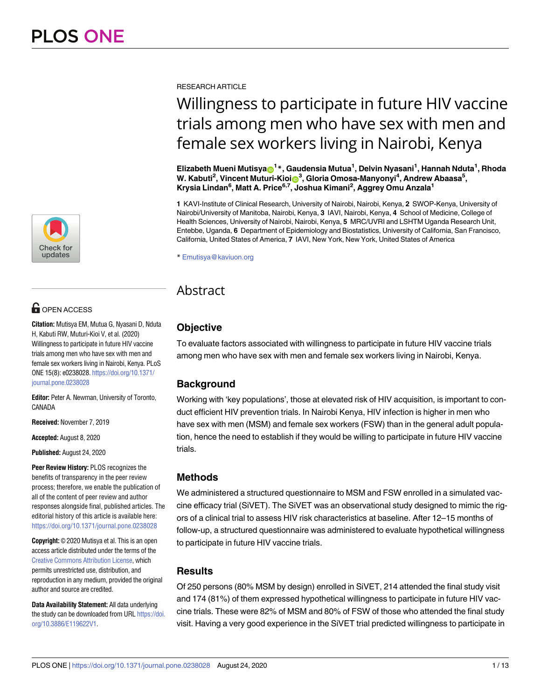

## **G** OPEN ACCESS

**Citation:** Mutisya EM, Mutua G, Nyasani D, Nduta H, Kabuti RW, Muturi-Kioi V, et al. (2020) Willingness to participate in future HIV vaccine trials among men who have sex with men and female sex workers living in Nairobi, Kenya. PLoS ONE 15(8): e0238028. [https://doi.org/10.1371/](https://doi.org/10.1371/journal.pone.0238028) [journal.pone.0238028](https://doi.org/10.1371/journal.pone.0238028)

**Editor:** Peter A. Newman, University of Toronto, CANADA

**Received:** November 7, 2019

**Accepted:** August 8, 2020

**Published:** August 24, 2020

**Peer Review History:** PLOS recognizes the benefits of transparency in the peer review process; therefore, we enable the publication of all of the content of peer review and author responses alongside final, published articles. The editorial history of this article is available here: <https://doi.org/10.1371/journal.pone.0238028>

**Copyright:** © 2020 Mutisya et al. This is an open access article distributed under the terms of the Creative Commons [Attribution](http://creativecommons.org/licenses/by/4.0/) License, which permits unrestricted use, distribution, and reproduction in any medium, provided the original author and source are credited.

**Data Availability Statement:** All data underlying the study can be downloaded from URL [https://doi.](https://doi.org/10.3886/E119622V1) [org/10.3886/E119622V1](https://doi.org/10.3886/E119622V1).

RESEARCH ARTICLE

# Willingness to participate in future HIV vaccine trials among men who have sex with men and female sex workers living in Nairobi, Kenya

 $\mathbf{E}\mathbf{I}$ izabeth Mueni Mutisya $\mathbf{\Theta}^\mathbf{1*}$ , Gaudensia Mutua<sup>1</sup>, Delvin Nyasani<sup>1</sup>, Hannah Nduta<sup>1</sup>, Rhoda  $W$ . Kabuti<sup>2</sup>, Vincent Muturi-Kioin<sup>3</sup>, Gloria Omosa-Manyonyi<sup>4</sup>, Andrew Abaasa<sup>5</sup>, **Krysia Lindan6 , Matt A. Price6,7, Joshua Kimani2 , Aggrey Omu Anzala1**

**1** KAVI-Institute of Clinical Research, University of Nairobi, Nairobi, Kenya, **2** SWOP-Kenya, University of Nairobi/University of Manitoba, Nairobi, Kenya, **3** IAVI, Nairobi, Kenya, **4** School of Medicine, College of Health Sciences, University of Nairobi, Nairobi, Kenya, **5** MRC/UVRI and LSHTM Uganda Research Unit, Entebbe, Uganda, **6** Department of Epidemiology and Biostatistics, University of California, San Francisco, California, United States of America, **7** IAVI, New York, New York, United States of America

\* Emutisya@kaviuon.org

## Abstract

## **Objective**

To evaluate factors associated with willingness to participate in future HIV vaccine trials among men who have sex with men and female sex workers living in Nairobi, Kenya.

## **Background**

Working with 'key populations', those at elevated risk of HIV acquisition, is important to conduct efficient HIV prevention trials. In Nairobi Kenya, HIV infection is higher in men who have sex with men (MSM) and female sex workers (FSW) than in the general adult population, hence the need to establish if they would be willing to participate in future HIV vaccine trials.

## **Methods**

We administered a structured questionnaire to MSM and FSW enrolled in a simulated vaccine efficacy trial (SiVET). The SiVET was an observational study designed to mimic the rigors of a clinical trial to assess HIV risk characteristics at baseline. After 12–15 months of follow-up, a structured questionnaire was administered to evaluate hypothetical willingness to participate in future HIV vaccine trials.

## **Results**

Of 250 persons (80% MSM by design) enrolled in SiVET, 214 attended the final study visit and 174 (81%) of them expressed hypothetical willingness to participate in future HIV vaccine trials. These were 82% of MSM and 80% of FSW of those who attended the final study visit. Having a very good experience in the SiVET trial predicted willingness to participate in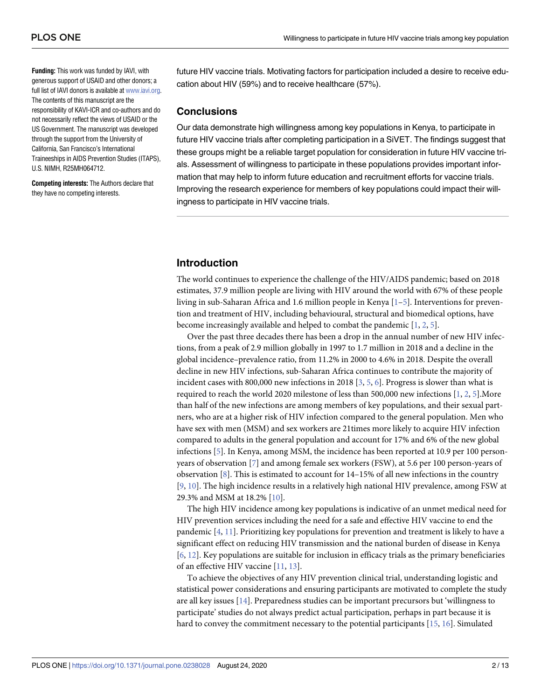<span id="page-1-0"></span>**Funding:** This work was funded by IAVI, with generous support of USAID and other donors; a full list of IAVI donors is available at [www.iavi.org](http://www.iavi.org). The contents of this manuscript are the responsibility of KAVI-ICR and co-authors and do not necessarily reflect the views of USAID or the US Government. The manuscript was developed through the support from the University of California, San Francisco's International Traineeships in AIDS Prevention Studies (ITAPS), U.S. NIMH, R25MH064712.

**Competing interests:** The Authors declare that they have no competing interests.

future HIV vaccine trials. Motivating factors for participation included a desire to receive education about HIV (59%) and to receive healthcare (57%).

### **Conclusions**

Our data demonstrate high willingness among key populations in Kenya, to participate in future HIV vaccine trials after completing participation in a SiVET. The findings suggest that these groups might be a reliable target population for consideration in future HIV vaccine trials. Assessment of willingness to participate in these populations provides important information that may help to inform future education and recruitment efforts for vaccine trials. Improving the research experience for members of key populations could impact their willingness to participate in HIV vaccine trials.

## **Introduction**

The world continues to experience the challenge of the HIV/AIDS pandemic; based on 2018 estimates, 37.9 million people are living with HIV around the world with 67% of these people living in sub-Saharan Africa and 1.6 million people in Kenya [\[1–5\]](#page-11-0). Interventions for prevention and treatment of HIV, including behavioural, structural and biomedical options, have become increasingly available and helped to combat the pandemic [[1](#page-11-0), [2,](#page-11-0) [5\]](#page-11-0).

Over the past three decades there has been a drop in the annual number of new HIV infections, from a peak of 2.9 million globally in 1997 to 1.7 million in 2018 and a decline in the global incidence–prevalence ratio, from 11.2% in 2000 to 4.6% in 2018. Despite the overall decline in new HIV infections, sub-Saharan Africa continues to contribute the majority of incident cases with 800,000 new infections in 2018 [[3](#page-11-0), [5,](#page-11-0) [6\]](#page-11-0). Progress is slower than what is required to reach the world 2020 milestone of less than 500,000 new infections [[1](#page-11-0), [2](#page-11-0), [5\]](#page-11-0).More than half of the new infections are among members of key populations, and their sexual partners, who are at a higher risk of HIV infection compared to the general population. Men who have sex with men (MSM) and sex workers are 21times more likely to acquire HIV infection compared to adults in the general population and account for 17% and 6% of the new global infections [[5\]](#page-11-0). In Kenya, among MSM, the incidence has been reported at 10.9 per 100 personyears of observation [\[7\]](#page-11-0) and among female sex workers (FSW), at 5.6 per 100 person-years of observation [\[8](#page-11-0)]. This is estimated to account for 14–15% of all new infections in the country [\[9](#page-11-0), [10](#page-11-0)]. The high incidence results in a relatively high national HIV prevalence, among FSW at 29.3% and MSM at 18.2% [[10](#page-11-0)].

The high HIV incidence among key populations is indicative of an unmet medical need for HIV prevention services including the need for a safe and effective HIV vaccine to end the pandemic [\[4,](#page-11-0) [11\]](#page-11-0). Prioritizing key populations for prevention and treatment is likely to have a significant effect on reducing HIV transmission and the national burden of disease in Kenya [\[6](#page-11-0), [12](#page-11-0)]. Key populations are suitable for inclusion in efficacy trials as the primary beneficiaries of an effective HIV vaccine [[11](#page-11-0), [13](#page-11-0)].

To achieve the objectives of any HIV prevention clinical trial, understanding logistic and statistical power considerations and ensuring participants are motivated to complete the study are all key issues [[14](#page-11-0)]. Preparedness studies can be important precursors but 'willingness to participate' studies do not always predict actual participation, perhaps in part because it is hard to convey the commitment necessary to the potential participants [\[15,](#page-11-0) [16\]](#page-11-0). Simulated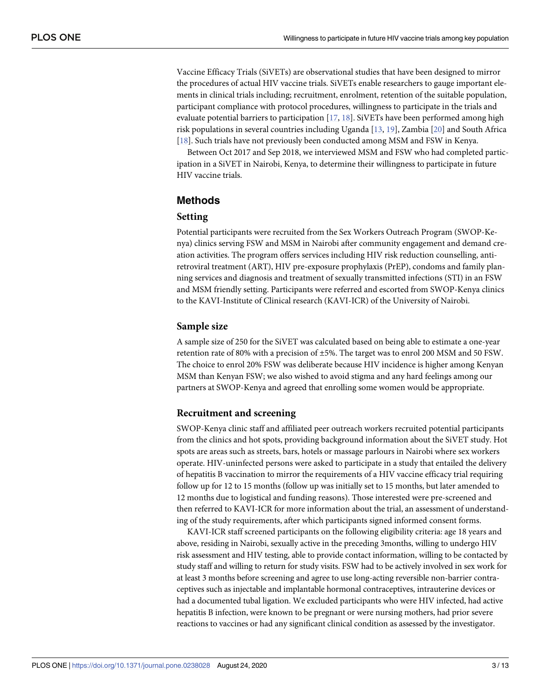<span id="page-2-0"></span>Vaccine Efficacy Trials (SiVETs) are observational studies that have been designed to mirror the procedures of actual HIV vaccine trials. SiVETs enable researchers to gauge important elements in clinical trials including; recruitment, enrolment, retention of the suitable population, participant compliance with protocol procedures, willingness to participate in the trials and evaluate potential barriers to participation [[17](#page-11-0), [18](#page-11-0)]. SiVETs have been performed among high risk populations in several countries including Uganda [\[13,](#page-11-0) [19\]](#page-11-0), Zambia [[20](#page-11-0)] and South Africa [\[18\]](#page-11-0). Such trials have not previously been conducted among MSM and FSW in Kenya.

Between Oct 2017 and Sep 2018, we interviewed MSM and FSW who had completed participation in a SiVET in Nairobi, Kenya, to determine their willingness to participate in future HIV vaccine trials.

## **Methods**

#### **Setting**

Potential participants were recruited from the Sex Workers Outreach Program (SWOP-Kenya) clinics serving FSW and MSM in Nairobi after community engagement and demand creation activities. The program offers services including HIV risk reduction counselling, antiretroviral treatment (ART), HIV pre-exposure prophylaxis (PrEP), condoms and family planning services and diagnosis and treatment of sexually transmitted infections (STI) in an FSW and MSM friendly setting. Participants were referred and escorted from SWOP-Kenya clinics to the KAVI-Institute of Clinical research (KAVI-ICR) of the University of Nairobi.

## **Sample size**

A sample size of 250 for the SiVET was calculated based on being able to estimate a one-year retention rate of 80% with a precision of ±5%. The target was to enrol 200 MSM and 50 FSW. The choice to enrol 20% FSW was deliberate because HIV incidence is higher among Kenyan MSM than Kenyan FSW; we also wished to avoid stigma and any hard feelings among our partners at SWOP-Kenya and agreed that enrolling some women would be appropriate.

## **Recruitment and screening**

SWOP-Kenya clinic staff and affiliated peer outreach workers recruited potential participants from the clinics and hot spots, providing background information about the SiVET study. Hot spots are areas such as streets, bars, hotels or massage parlours in Nairobi where sex workers operate. HIV-uninfected persons were asked to participate in a study that entailed the delivery of hepatitis B vaccination to mirror the requirements of a HIV vaccine efficacy trial requiring follow up for 12 to 15 months (follow up was initially set to 15 months, but later amended to 12 months due to logistical and funding reasons). Those interested were pre-screened and then referred to KAVI-ICR for more information about the trial, an assessment of understanding of the study requirements, after which participants signed informed consent forms.

KAVI-ICR staff screened participants on the following eligibility criteria: age 18 years and above, residing in Nairobi, sexually active in the preceding 3months, willing to undergo HIV risk assessment and HIV testing, able to provide contact information, willing to be contacted by study staff and willing to return for study visits. FSW had to be actively involved in sex work for at least 3 months before screening and agree to use long-acting reversible non-barrier contraceptives such as injectable and implantable hormonal contraceptives, intrauterine devices or had a documented tubal ligation. We excluded participants who were HIV infected, had active hepatitis B infection, were known to be pregnant or were nursing mothers, had prior severe reactions to vaccines or had any significant clinical condition as assessed by the investigator.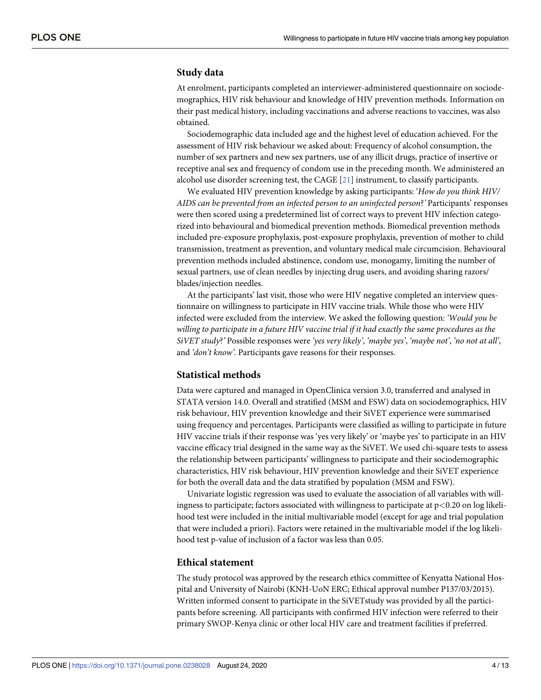#### <span id="page-3-0"></span>**Study data**

At enrolment, participants completed an interviewer-administered questionnaire on sociodemographics, HIV risk behaviour and knowledge of HIV prevention methods. Information on their past medical history, including vaccinations and adverse reactions to vaccines, was also obtained.

Sociodemographic data included age and the highest level of education achieved. For the assessment of HIV risk behaviour we asked about: Frequency of alcohol consumption, the number of sex partners and new sex partners, use of any illicit drugs, practice of insertive or receptive anal sex and frequency of condom use in the preceding month. We administered an alcohol use disorder screening test, the CAGE [[21](#page-12-0)] instrument, to classify participants.

We evaluated HIV prevention knowledge by asking participants: '*How do you think HIV/ AIDS can be prevented from an infected person to an uninfected person*?*'* Participants' responses were then scored using a predetermined list of correct ways to prevent HIV infection categorized into behavioural and biomedical prevention methods. Biomedical prevention methods included pre-exposure prophylaxis, post-exposure prophylaxis, prevention of mother to child transmission, treatment as prevention, and voluntary medical male circumcision. Behavioural prevention methods included abstinence, condom use, monogamy, limiting the number of sexual partners, use of clean needles by injecting drug users, and avoiding sharing razors/ blades/injection needles.

At the participants' last visit, those who were HIV negative completed an interview questionnaire on willingness to participate in HIV vaccine trials. While those who were HIV infected were excluded from the interview. We asked the following question: *'Would you be willing to participate in a future HIV vaccine trial if it had exactly the same procedures as the SiVET study*?*'* Possible responses were *'yes very likely'*, *'maybe yes'*, *'maybe not'*, *'no not at all'*, and *'don't know'*. Participants gave reasons for their responses.

#### **Statistical methods**

Data were captured and managed in OpenClinica version 3.0, transferred and analysed in STATA version 14.0. Overall and stratified (MSM and FSW) data on sociodemographics, HIV risk behaviour, HIV prevention knowledge and their SiVET experience were summarised using frequency and percentages. Participants were classified as willing to participate in future HIV vaccine trials if their response was 'yes very likely' or 'maybe yes' to participate in an HIV vaccine efficacy trial designed in the same way as the SiVET. We used chi-square tests to assess the relationship between participants' willingness to participate and their sociodemographic characteristics, HIV risk behaviour, HIV prevention knowledge and their SiVET experience for both the overall data and the data stratified by population (MSM and FSW).

Univariate logistic regression was used to evaluate the association of all variables with willingness to participate; factors associated with willingness to participate at p*<*0.20 on log likelihood test were included in the initial multivariable model (except for age and trial population that were included a priori). Factors were retained in the multivariable model if the log likelihood test p-value of inclusion of a factor was less than 0.05.

#### **Ethical statement**

The study protocol was approved by the research ethics committee of Kenyatta National Hospital and University of Nairobi (KNH-UoN ERC; Ethical approval number P137/03/2015). Written informed consent to participate in the SiVETstudy was provided by all the participants before screening. All participants with confirmed HIV infection were referred to their primary SWOP-Kenya clinic or other local HIV care and treatment facilities if preferred.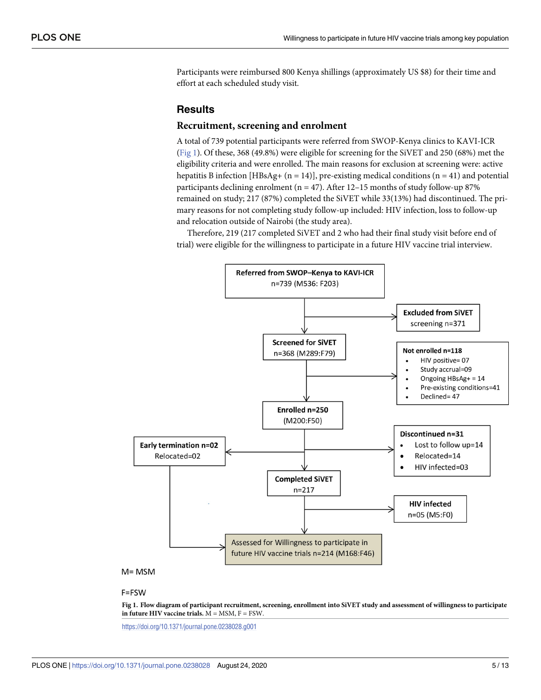Participants were reimbursed 800 Kenya shillings (approximately US \$8) for their time and effort at each scheduled study visit.

## **Results**

#### **Recruitment, screening and enrolment**

A total of 739 potential participants were referred from SWOP-Kenya clinics to KAVI-ICR (Fig 1). Of these, 368 (49.8%) were eligible for screening for the SiVET and 250 (68%) met the eligibility criteria and were enrolled. The main reasons for exclusion at screening were: active hepatitis B infection [HBsAg+  $(n = 14)$ ], pre-existing medical conditions  $(n = 41)$  and potential participants declining enrolment ( $n = 47$ ). After 12-15 months of study follow-up 87% remained on study; 217 (87%) completed the SiVET while 33(13%) had discontinued. The primary reasons for not completing study follow-up included: HIV infection, loss to follow-up and relocation outside of Nairobi (the study area).

Therefore, 219 (217 completed SiVET and 2 who had their final study visit before end of trial) were eligible for the willingness to participate in a future HIV vaccine trial interview.



## F=FSW

Fig 1. Flow diagram of participant recruitment, screening, enrollment into SiVET study and assessment of willingness to participate **in future HIV vaccine trials.** M = MSM, F = FSW.

<https://doi.org/10.1371/journal.pone.0238028.g001>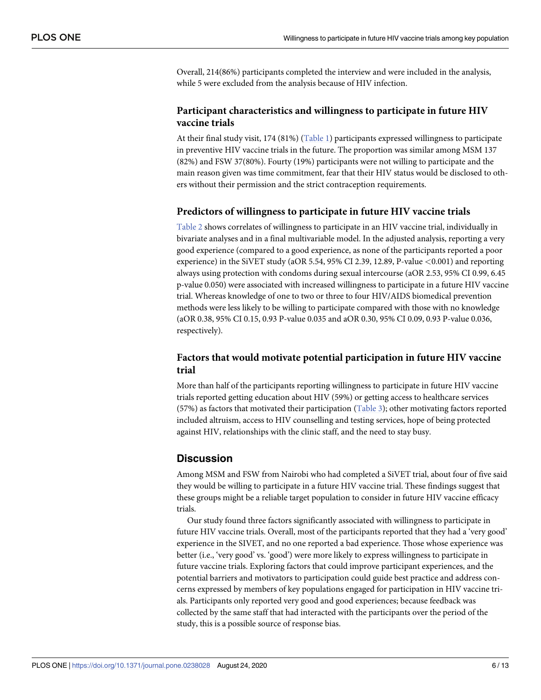<span id="page-5-0"></span>Overall, 214(86%) participants completed the interview and were included in the analysis, while 5 were excluded from the analysis because of HIV infection.

## **Participant characteristics and willingness to participate in future HIV vaccine trials**

At their final study visit, 174 (81%) ([Table](#page-6-0) 1) participants expressed willingness to participate in preventive HIV vaccine trials in the future. The proportion was similar among MSM 137 (82%) and FSW 37(80%). Fourty (19%) participants were not willing to participate and the main reason given was time commitment, fear that their HIV status would be disclosed to others without their permission and the strict contraception requirements.

## **Predictors of willingness to participate in future HIV vaccine trials**

[Table](#page-8-0) 2 shows correlates of willingness to participate in an HIV vaccine trial, individually in bivariate analyses and in a final multivariable model. In the adjusted analysis, reporting a very good experience (compared to a good experience, as none of the participants reported a poor experience) in the SiVET study (aOR 5.54, 95% CI 2.39, 12.89, P-value *<*0.001) and reporting always using protection with condoms during sexual intercourse (aOR 2.53, 95% CI 0.99, 6.45 p-value 0.050) were associated with increased willingness to participate in a future HIV vaccine trial. Whereas knowledge of one to two or three to four HIV/AIDS biomedical prevention methods were less likely to be willing to participate compared with those with no knowledge (aOR 0.38, 95% CI 0.15, 0.93 P-value 0.035 and aOR 0.30, 95% CI 0.09, 0.93 P-value 0.036, respectively).

## **Factors that would motivate potential participation in future HIV vaccine trial**

More than half of the participants reporting willingness to participate in future HIV vaccine trials reported getting education about HIV (59%) or getting access to healthcare services (57%) as factors that motivated their participation ([Table](#page-9-0) 3); other motivating factors reported included altruism, access to HIV counselling and testing services, hope of being protected against HIV, relationships with the clinic staff, and the need to stay busy.

## **Discussion**

Among MSM and FSW from Nairobi who had completed a SiVET trial, about four of five said they would be willing to participate in a future HIV vaccine trial. These findings suggest that these groups might be a reliable target population to consider in future HIV vaccine efficacy trials.

Our study found three factors significantly associated with willingness to participate in future HIV vaccine trials. Overall, most of the participants reported that they had a 'very good' experience in the SIVET, and no one reported a bad experience. Those whose experience was better (i.e., 'very good' vs. 'good') were more likely to express willingness to participate in future vaccine trials. Exploring factors that could improve participant experiences, and the potential barriers and motivators to participation could guide best practice and address concerns expressed by members of key populations engaged for participation in HIV vaccine trials. Participants only reported very good and good experiences; because feedback was collected by the same staff that had interacted with the participants over the period of the study, this is a possible source of response bias.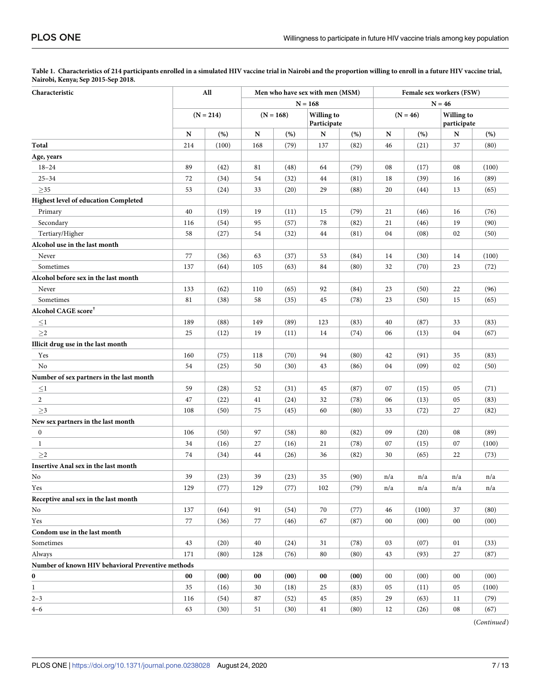<span id="page-6-0"></span>[Table](#page-5-0) 1. Characteristics of 214 participants enrolled in a simulated HIV vaccine trial in Nairobi and the proportion willing to enroll in a future HIV vaccine trial, **Nairobi, Kenya; Sep 2015-Sep 2018.**

| Characteristic                                    |             | All   |     | Men who have sex with men (MSM) |                                  |           |            | Female sex workers (FSW) |                                  |       |  |
|---------------------------------------------------|-------------|-------|-----|---------------------------------|----------------------------------|-----------|------------|--------------------------|----------------------------------|-------|--|
|                                                   |             |       |     |                                 |                                  | $N = 168$ |            | $N = 46$                 |                                  |       |  |
|                                                   | $(N = 214)$ |       |     | $(N = 168)$                     | <b>Willing to</b><br>Participate |           | $(N = 46)$ |                          | <b>Willing to</b><br>participate |       |  |
|                                                   | N           | (%)   | N   | (% )                            | N                                | (% )      | N          | (%)                      | N                                | (% )  |  |
| Total                                             | 214         | (100) | 168 | (79)                            | 137                              | (82)      | 46         | (21)                     | 37                               | (80)  |  |
| Age, years                                        |             |       |     |                                 |                                  |           |            |                          |                                  |       |  |
| $18 - 24$                                         | 89          | (42)  | 81  | (48)                            | 64                               | (79)      | 08         | (17)                     | 08                               | (100) |  |
| $25 - 34$                                         | 72          | (34)  | 54  | (32)                            | 44                               | (81)      | 18         | (39)                     | 16                               | (89)  |  |
| $>35$                                             | 53          | (24)  | 33  | (20)                            | 29                               | (88)      | 20         | (44)                     | 13                               | (65)  |  |
| Highest level of education Completed              |             |       |     |                                 |                                  |           |            |                          |                                  |       |  |
| Primary                                           | 40          | (19)  | 19  | (11)                            | 15                               | (79)      | 21         | (46)                     | 16                               | (76)  |  |
| Secondary                                         | 116         | (54)  | 95  | (57)                            | 78                               | (82)      | 21         | (46)                     | 19                               | (90)  |  |
| Tertiary/Higher                                   | 58          | (27)  | 54  | (32)                            | 44                               | (81)      | 04         | (08)                     | 02                               | (50)  |  |
| Alcohol use in the last month                     |             |       |     |                                 |                                  |           |            |                          |                                  |       |  |
| Never                                             | 77          | (36)  | 63  | (37)                            | 53                               | (84)      | 14         | (30)                     | 14                               | (100) |  |
| Sometimes                                         | 137         | (64)  | 105 | (63)                            | 84                               | (80)      | 32         | (70)                     | 23                               | (72)  |  |
| Alcohol before sex in the last month              |             |       |     |                                 |                                  |           |            |                          |                                  |       |  |
| Never                                             | 133         | (62)  | 110 | (65)                            | 92                               | (84)      | 23         | (50)                     | 22                               | (96)  |  |
| Sometimes                                         | 81          | (38)  | 58  | (35)                            | 45                               | (78)      | 23         | (50)                     | 15                               | (65)  |  |
| Alcohol CAGE score <sup>†</sup>                   |             |       |     |                                 |                                  |           |            |                          |                                  |       |  |
| $\leq1$                                           | 189         | (88)  | 149 | (89)                            | 123                              | (83)      | 40         | (87)                     | 33                               | (83)  |  |
| ${\geq}2$                                         | 25          | (12)  | 19  | (11)                            | 14                               | (74)      | 06         | (13)                     | 04                               | (67)  |  |
| Illicit drug use in the last month                |             |       |     |                                 |                                  |           |            |                          |                                  |       |  |
| Yes                                               | 160         | (75)  | 118 | (70)                            | 94                               | (80)      | 42         | (91)                     | 35                               | (83)  |  |
| No                                                | 54          | (25)  | 50  | (30)                            | 43                               | (86)      | 04         | (09)                     | 02                               | (50)  |  |
| Number of sex partners in the last month          |             |       |     |                                 |                                  |           |            |                          |                                  |       |  |
| $\leq$ 1                                          | 59          | (28)  | 52  | (31)                            | 45                               | (87)      | 07         | (15)                     | 05                               | (71)  |  |
| $\overline{c}$                                    | 47          | (22)  | 41  | (24)                            | 32                               | (78)      | 06         | (13)                     | 05                               | (83)  |  |
| $\geq$ 3                                          | 108         | (50)  | 75  | (45)                            | 60                               | (80)      | 33         | (72)                     | 27                               | (82)  |  |
| New sex partners in the last month                |             |       |     |                                 |                                  |           |            |                          |                                  |       |  |
| $\boldsymbol{0}$                                  | 106         | (50)  | 97  | (58)                            | 80                               | (82)      | 09         | (20)                     | 08                               | (89)  |  |
| $\mathbf{1}$                                      | 34          | (16)  | 27  | (16)                            | 21                               | (78)      | 07         | (15)                     | 07                               | (100) |  |
| $>\!2$                                            | 74          | (34)  | 44  | (26)                            | 36                               | (82)      | 30         | (65)                     | 22                               | (73)  |  |
| Insertive Anal sex in the last month              |             |       |     |                                 |                                  |           |            |                          |                                  |       |  |
| No                                                | 39          | (23)  | 39  | (23)                            | 35                               | (90)      | n/a        | n/a                      | n/a                              | n/a   |  |
| Yes                                               | 129         | (77)  | 129 | (77)                            | 102                              | (79)      | n/a        | n/a                      | n/a                              | n/a   |  |
| Receptive anal sex in the last month              |             |       |     |                                 |                                  |           |            |                          |                                  |       |  |
| No                                                | 137         | (64)  | 91  | (54)                            | 70                               | (77)      | 46         | (100)                    | 37                               | (80)  |  |
| Yes                                               | 77          | (36)  | 77  | (46)                            | 67                               | (87)      | $00\,$     | (00)                     | 00                               | (00)  |  |
| Condom use in the last month                      |             |       |     |                                 |                                  |           |            |                          |                                  |       |  |
| Sometimes                                         | 43          | (20)  | 40  | (24)                            | 31                               | (78)      | 03         | (07)                     | 01                               | (33)  |  |
| Always                                            | 171         | (80)  | 128 | (76)                            | 80                               | (80)      | 43         | (93)                     | 27                               | (87)  |  |
| Number of known HIV behavioral Preventive methods |             |       |     |                                 |                                  |           |            |                          |                                  |       |  |
| 0                                                 | $00\,$      | (00)  | 00  | (00)                            | $00\,$                           | (00)      | 00         | (00)                     | 00                               | (00)  |  |
| $\mathbf{1}$                                      | 35          | (16)  | 30  | (18)                            | 25                               | (83)      | 05         | (11)                     | 05                               | (100) |  |
| $2 - 3$                                           | 116         | (54)  | 87  | (52)                            | 45                               | (85)      | 29         | (63)                     | 11                               | (79)  |  |
| $4 - 6$                                           | 63          | (30)  | 51  | (30)                            | 41                               | (80)      | 12         | (26)                     | ${\bf 08}$                       | (67)  |  |
|                                                   |             |       |     |                                 |                                  |           |            |                          |                                  |       |  |

(*Continued*)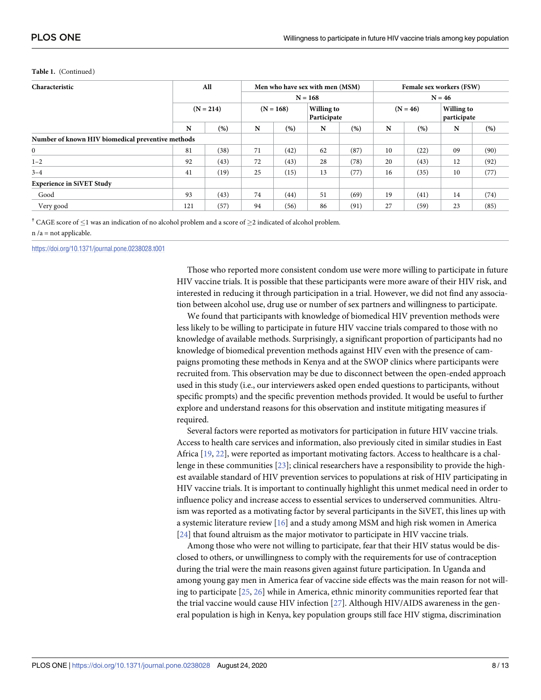| Characteristic                                    | All         |      |           | Men who have sex with men (MSM)          |    |          |            | Female sex workers (FSW) |                           |      |  |
|---------------------------------------------------|-------------|------|-----------|------------------------------------------|----|----------|------------|--------------------------|---------------------------|------|--|
|                                                   |             |      | $N = 168$ |                                          |    | $N = 46$ |            |                          |                           |      |  |
|                                                   | $(N = 214)$ |      |           | Willing to<br>$(N = 168)$<br>Participate |    |          | $(N = 46)$ |                          | Willing to<br>participate |      |  |
|                                                   | N           | (%)  | N         | (% )                                     | N  | (%)      | N          | (% )                     | N                         | (% ) |  |
| Number of known HIV biomedical preventive methods |             |      |           |                                          |    |          |            |                          |                           |      |  |
| $\overline{0}$                                    | 81          | (38) | 71        | (42)                                     | 62 | (87)     | 10         | (22)                     | 09                        | (90) |  |
| $1 - 2$                                           | 92          | (43) | 72        | (43)                                     | 28 | (78)     | 20         | (43)                     | 12                        | (92) |  |
| $3 - 4$                                           | 41          | (19) | 25        | (15)                                     | 13 | (77)     | 16         | (35)                     | 10                        | (77) |  |
| <b>Experience in SiVET Study</b>                  |             |      |           |                                          |    |          |            |                          |                           |      |  |
| Good                                              | 93          | (43) | 74        | (44)                                     | 51 | (69)     | 19         | (41)                     | 14                        | (74) |  |
| Very good                                         | 121         | (57) | 94        | (56)                                     | 86 | (91)     | 27         | (59)                     | 23                        | (85) |  |

#### <span id="page-7-0"></span>**Table 1.** (Continued)

<sup>†</sup> CAGE score of  $\leq$ 1 was an indication of no alcohol problem and a score of  $\geq$ 2 indicated of alcohol problem.

n /a = not applicable.

<https://doi.org/10.1371/journal.pone.0238028.t001>

Those who reported more consistent condom use were more willing to participate in future HIV vaccine trials. It is possible that these participants were more aware of their HIV risk, and interested in reducing it through participation in a trial. However, we did not find any association between alcohol use, drug use or number of sex partners and willingness to participate.

We found that participants with knowledge of biomedical HIV prevention methods were less likely to be willing to participate in future HIV vaccine trials compared to those with no knowledge of available methods. Surprisingly, a significant proportion of participants had no knowledge of biomedical prevention methods against HIV even with the presence of campaigns promoting these methods in Kenya and at the SWOP clinics where participants were recruited from. This observation may be due to disconnect between the open-ended approach used in this study (i.e., our interviewers asked open ended questions to participants, without specific prompts) and the specific prevention methods provided. It would be useful to further explore and understand reasons for this observation and institute mitigating measures if required.

Several factors were reported as motivators for participation in future HIV vaccine trials. Access to health care services and information, also previously cited in similar studies in East Africa [\[19,](#page-11-0) [22\]](#page-12-0), were reported as important motivating factors. Access to healthcare is a challenge in these communities [\[23\]](#page-12-0); clinical researchers have a responsibility to provide the highest available standard of HIV prevention services to populations at risk of HIV participating in HIV vaccine trials. It is important to continually highlight this unmet medical need in order to influence policy and increase access to essential services to underserved communities. Altruism was reported as a motivating factor by several participants in the SiVET, this lines up with a systemic literature review [[16\]](#page-11-0) and a study among MSM and high risk women in America [\[24\]](#page-12-0) that found altruism as the major motivator to participate in HIV vaccine trials.

Among those who were not willing to participate, fear that their HIV status would be disclosed to others, or unwillingness to comply with the requirements for use of contraception during the trial were the main reasons given against future participation. In Uganda and among young gay men in America fear of vaccine side effects was the main reason for not willing to participate [\[25,](#page-12-0) [26\]](#page-12-0) while in America, ethnic minority communities reported fear that the trial vaccine would cause HIV infection [[27](#page-12-0)]. Although HIV/AIDS awareness in the general population is high in Kenya, key population groups still face HIV stigma, discrimination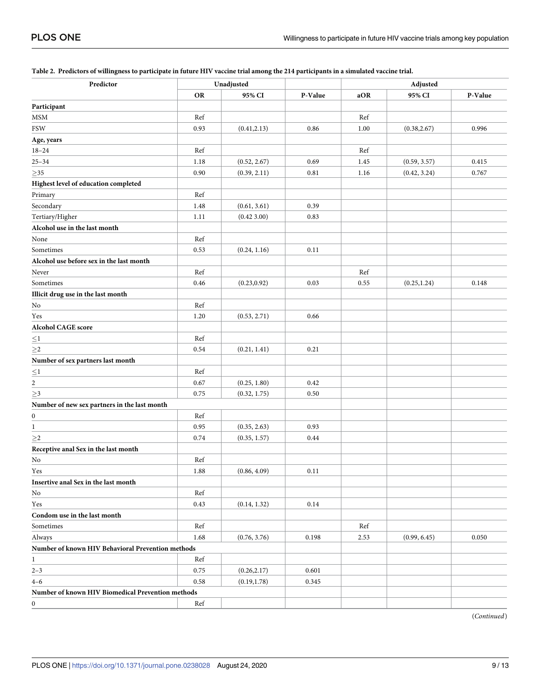| Predictor                                         |           | Unadjusted   |         | Adjusted |              |         |  |
|---------------------------------------------------|-----------|--------------|---------|----------|--------------|---------|--|
|                                                   | <b>OR</b> | 95% CI       | P-Value | aOR      | 95% CI       | P-Value |  |
| Participant                                       |           |              |         |          |              |         |  |
| MSM                                               | Ref       |              |         | Ref      |              |         |  |
| <b>FSW</b>                                        | 0.93      | (0.41, 2.13) | 0.86    | 1.00     | (0.38, 2.67) | 0.996   |  |
| Age, years                                        |           |              |         |          |              |         |  |
| $18 - 24$                                         | Ref       |              |         | Ref      |              |         |  |
| $25 - 34$                                         | 1.18      | (0.52, 2.67) | 0.69    | 1.45     | (0.59, 3.57) | 0.415   |  |
| ${\geq}35$                                        | 0.90      | (0.39, 2.11) | 0.81    | 1.16     | (0.42, 3.24) | 0.767   |  |
| Highest level of education completed              |           |              |         |          |              |         |  |
| Primary                                           | Ref       |              |         |          |              |         |  |
| Secondary                                         | 1.48      | (0.61, 3.61) | 0.39    |          |              |         |  |
| Tertiary/Higher                                   | 1.11      | (0.42, 3.00) | 0.83    |          |              |         |  |
| Alcohol use in the last month                     |           |              |         |          |              |         |  |
| None                                              | Ref       |              |         |          |              |         |  |
| Sometimes                                         | 0.53      | (0.24, 1.16) | 0.11    |          |              |         |  |
| Alcohol use before sex in the last month          |           |              |         |          |              |         |  |
| Never                                             | Ref       |              |         | Ref      |              |         |  |
| Sometimes                                         | 0.46      | (0.23, 0.92) | 0.03    | 0.55     | (0.25, 1.24) | 0.148   |  |
| Illicit drug use in the last month                |           |              |         |          |              |         |  |
| No                                                | Ref       |              |         |          |              |         |  |
| Yes                                               | 1.20      | (0.53, 2.71) | 0.66    |          |              |         |  |
| Alcohol CAGE score                                |           |              |         |          |              |         |  |
| $\leq1$                                           | Ref       |              |         |          |              |         |  |
| $\geq2$                                           | 0.54      | (0.21, 1.41) | 0.21    |          |              |         |  |
| Number of sex partners last month                 |           |              |         |          |              |         |  |
| $\leq1$                                           | Ref       |              |         |          |              |         |  |
| $\overline{\mathbf{c}}$                           | 0.67      | (0.25, 1.80) | 0.42    |          |              |         |  |
| $\geq 3$                                          | 0.75      | (0.32, 1.75) | 0.50    |          |              |         |  |
| Number of new sex partners in the last month      |           |              |         |          |              |         |  |
| $\boldsymbol{0}$                                  | Ref       |              |         |          |              |         |  |
| $\mathbf{1}$                                      | 0.95      | (0.35, 2.63) | 0.93    |          |              |         |  |
| ${\geq}2$                                         | 0.74      | (0.35, 1.57) | 0.44    |          |              |         |  |
| Receptive anal Sex in the last month              |           |              |         |          |              |         |  |
| No                                                | Ref       |              |         |          |              |         |  |
| Yes                                               | 1.88      | (0.86, 4.09) | 0.11    |          |              |         |  |
| Insertive anal Sex in the last month              |           |              |         |          |              |         |  |
| No                                                | Ref       |              |         |          |              |         |  |
| Yes                                               | 0.43      | (0.14, 1.32) | 0.14    |          |              |         |  |
| Condom use in the last month                      |           |              |         |          |              |         |  |
| Sometimes                                         | Ref       |              |         | Ref      |              |         |  |
| Always                                            | 1.68      | (0.76, 3.76) | 0.198   | 2.53     | (0.99, 6.45) | 0.050   |  |
| Number of known HIV Behavioral Prevention methods |           |              |         |          |              |         |  |
| $\mathbf{1}$                                      | Ref       |              |         |          |              |         |  |
| $2 - 3$                                           | 0.75      | (0.26, 2.17) | 0.601   |          |              |         |  |
| $4 - 6$                                           | 0.58      | (0.19, 1.78) | 0.345   |          |              |         |  |
| Number of known HIV Biomedical Prevention methods |           |              |         |          |              |         |  |
| $\boldsymbol{0}$                                  | Ref       |              |         |          |              |         |  |
|                                                   |           |              |         |          |              |         |  |

#### <span id="page-8-0"></span>[Table](#page-5-0) 2. Predictors of willingness to participate in future HIV vaccine trial among the 214 participants in a simulated vaccine trial.

(*Continued*)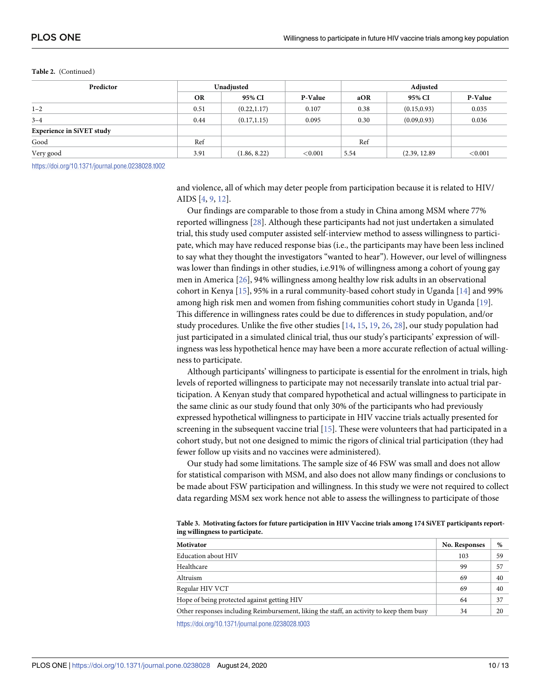#### <span id="page-9-0"></span>**Table 2.** (Continued)

| Predictor                        |           | Unadiusted   |            |      | Adjusted      |         |  |  |
|----------------------------------|-----------|--------------|------------|------|---------------|---------|--|--|
|                                  | <b>OR</b> | 95% CI       | P-Value    | aOR  | 95% CI        | P-Value |  |  |
| $1 - 2$                          | 0.51      | (0.22, 1.17) | 0.107      | 0.38 | (0.15, 0.93)  | 0.035   |  |  |
| $3 - 4$                          | 0.44      | (0.17, 1.15) | 0.095      | 0.30 | (0.09, 0.93)  | 0.036   |  |  |
| <b>Experience in SiVET study</b> |           |              |            |      |               |         |  |  |
| Good                             | Ref       |              |            | Ref  |               |         |  |  |
| Very good                        | 3.91      | (1.86, 8.22) | ${<}0.001$ | 5.54 | (2.39, 12.89) | < 0.001 |  |  |

<https://doi.org/10.1371/journal.pone.0238028.t002>

and violence, all of which may deter people from participation because it is related to HIV/ AIDS [[4,](#page-11-0) [9,](#page-11-0) [12\]](#page-11-0).

Our findings are comparable to those from a study in China among MSM where 77% reported willingness [\[28\]](#page-12-0). Although these participants had not just undertaken a simulated trial, this study used computer assisted self-interview method to assess willingness to participate, which may have reduced response bias (i.e., the participants may have been less inclined to say what they thought the investigators "wanted to hear"). However, our level of willingness was lower than findings in other studies, i.e.91% of willingness among a cohort of young gay men in America [\[26\]](#page-12-0), 94% willingness among healthy low risk adults in an observational cohort in Kenya [[15](#page-11-0)], 95% in a rural community-based cohort study in Uganda [[14](#page-11-0)] and 99% among high risk men and women from fishing communities cohort study in Uganda [[19](#page-11-0)]. This difference in willingness rates could be due to differences in study population, and/or study procedures. Unlike the five other studies [\[14,](#page-11-0) [15,](#page-11-0) [19,](#page-11-0) [26,](#page-12-0) [28\]](#page-12-0), our study population had just participated in a simulated clinical trial, thus our study's participants' expression of willingness was less hypothetical hence may have been a more accurate reflection of actual willingness to participate.

Although participants' willingness to participate is essential for the enrolment in trials, high levels of reported willingness to participate may not necessarily translate into actual trial participation. A Kenyan study that compared hypothetical and actual willingness to participate in the same clinic as our study found that only 30% of the participants who had previously expressed hypothetical willingness to participate in HIV vaccine trials actually presented for screening in the subsequent vaccine trial [\[15\]](#page-11-0). These were volunteers that had participated in a cohort study, but not one designed to mimic the rigors of clinical trial participation (they had fewer follow up visits and no vaccines were administered).

Our study had some limitations. The sample size of 46 FSW was small and does not allow for statistical comparison with MSM, and also does not allow many findings or conclusions to be made about FSW participation and willingness. In this study we were not required to collect data regarding MSM sex work hence not able to assess the willingness to participate of those

| Table 3. Motivating factors for future participation in HIV Vaccine trials among 174 SiVET participants report- |  |
|-----------------------------------------------------------------------------------------------------------------|--|
| ing willingness to participate.                                                                                 |  |

| Motivator                                                                                | No. Responses | %  |
|------------------------------------------------------------------------------------------|---------------|----|
| <b>Education about HIV</b>                                                               | 103           | 59 |
| Healthcare                                                                               | 99            | 57 |
| Altruism                                                                                 | 69            | 40 |
| Regular HIV VCT                                                                          | 69            | 40 |
| Hope of being protected against getting HIV                                              | 64            | 37 |
| Other responses including Reimbursement, liking the staff, an activity to keep them busy | 34            | 20 |
| https://doi.org/10.1371/journal.pone.0238028.t003                                        |               |    |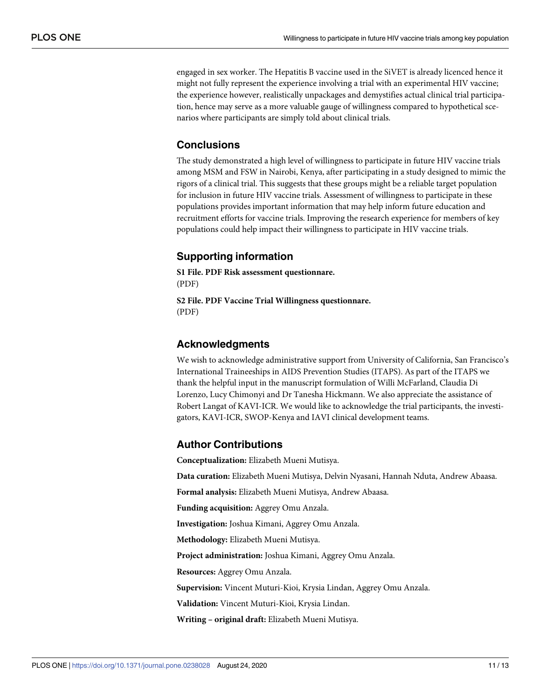engaged in sex worker. The Hepatitis B vaccine used in the SiVET is already licenced hence it might not fully represent the experience involving a trial with an experimental HIV vaccine; the experience however, realistically unpackages and demystifies actual clinical trial participation, hence may serve as a more valuable gauge of willingness compared to hypothetical scenarios where participants are simply told about clinical trials.

## **Conclusions**

The study demonstrated a high level of willingness to participate in future HIV vaccine trials among MSM and FSW in Nairobi, Kenya, after participating in a study designed to mimic the rigors of a clinical trial. This suggests that these groups might be a reliable target population for inclusion in future HIV vaccine trials. Assessment of willingness to participate in these populations provides important information that may help inform future education and recruitment efforts for vaccine trials. Improving the research experience for members of key populations could help impact their willingness to participate in HIV vaccine trials.

## **Supporting information**

**S1 [File.](http://www.plosone.org/article/fetchSingleRepresentation.action?uri=info:doi/10.1371/journal.pone.0238028.s001) PDF Risk assessment questionnare.** (PDF)

**S2 [File.](http://www.plosone.org/article/fetchSingleRepresentation.action?uri=info:doi/10.1371/journal.pone.0238028.s002) PDF Vaccine Trial Willingness questionnare.** (PDF)

## **Acknowledgments**

We wish to acknowledge administrative support from University of California, San Francisco's International Traineeships in AIDS Prevention Studies (ITAPS). As part of the ITAPS we thank the helpful input in the manuscript formulation of Willi McFarland, Claudia Di Lorenzo, Lucy Chimonyi and Dr Tanesha Hickmann. We also appreciate the assistance of Robert Langat of KAVI-ICR. We would like to acknowledge the trial participants, the investigators, KAVI-ICR, SWOP-Kenya and IAVI clinical development teams.

## **Author Contributions**

**Conceptualization:** Elizabeth Mueni Mutisya.

**Data curation:** Elizabeth Mueni Mutisya, Delvin Nyasani, Hannah Nduta, Andrew Abaasa.

**Formal analysis:** Elizabeth Mueni Mutisya, Andrew Abaasa.

**Funding acquisition:** Aggrey Omu Anzala.

**Investigation:** Joshua Kimani, Aggrey Omu Anzala.

**Methodology:** Elizabeth Mueni Mutisya.

**Project administration:** Joshua Kimani, Aggrey Omu Anzala.

**Resources:** Aggrey Omu Anzala.

**Supervision:** Vincent Muturi-Kioi, Krysia Lindan, Aggrey Omu Anzala.

**Validation:** Vincent Muturi-Kioi, Krysia Lindan.

**Writing – original draft:** Elizabeth Mueni Mutisya.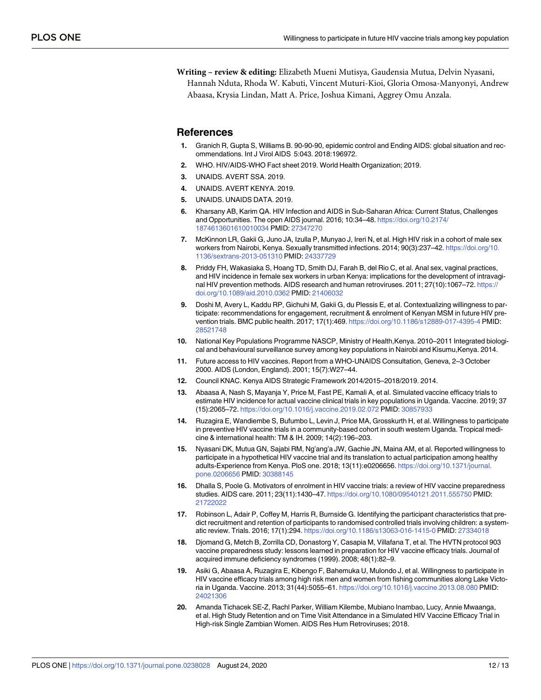<span id="page-11-0"></span>**Writing – review & editing:** Elizabeth Mueni Mutisya, Gaudensia Mutua, Delvin Nyasani, Hannah Nduta, Rhoda W. Kabuti, Vincent Muturi-Kioi, Gloria Omosa-Manyonyi, Andrew Abaasa, Krysia Lindan, Matt A. Price, Joshua Kimani, Aggrey Omu Anzala.

#### **References**

- **[1](#page-1-0).** Granich R, Gupta S, Williams B. 90-90-90, epidemic control and Ending AIDS: global situation and recommendations. Int J Virol AIDS 5:043. 2018:196972.
- **[2](#page-1-0).** WHO. HIV/AIDS-WHO Fact sheet 2019. World Health Organization; 2019.
- **[3](#page-1-0).** UNAIDS. AVERT SSA. 2019.
- **[4](#page-1-0).** UNAIDS. AVERT KENYA. 2019.
- **[5](#page-1-0).** UNAIDS. UNAIDS DATA. 2019.
- **[6](#page-1-0).** Kharsany AB, Karim QA. HIV Infection and AIDS in Sub-Saharan Africa: Current Status, Challenges and Opportunities. The open AIDS journal. 2016; 10:34–48. [https://doi.org/10.2174/](https://doi.org/10.2174/1874613601610010034) [1874613601610010034](https://doi.org/10.2174/1874613601610010034) PMID: [27347270](http://www.ncbi.nlm.nih.gov/pubmed/27347270)
- **[7](#page-1-0).** McKinnon LR, Gakii G, Juno JA, Izulla P, Munyao J, Ireri N, et al. High HIV risk in a cohort of male sex workers from Nairobi, Kenya. Sexually transmitted infections. 2014; 90(3):237–42. [https://doi.org/10.](https://doi.org/10.1136/sextrans-2013-051310) [1136/sextrans-2013-051310](https://doi.org/10.1136/sextrans-2013-051310) PMID: [24337729](http://www.ncbi.nlm.nih.gov/pubmed/24337729)
- **[8](#page-1-0).** Priddy FH, Wakasiaka S, Hoang TD, Smith DJ, Farah B, del Rio C, et al. Anal sex, vaginal practices, and HIV incidence in female sex workers in urban Kenya: implications for the development of intravaginal HIV prevention methods. AIDS research and human retroviruses. 2011; 27(10):1067–72. [https://](https://doi.org/10.1089/aid.2010.0362) [doi.org/10.1089/aid.2010.0362](https://doi.org/10.1089/aid.2010.0362) PMID: [21406032](http://www.ncbi.nlm.nih.gov/pubmed/21406032)
- **[9](#page-1-0).** Doshi M, Avery L, Kaddu RP, Gichuhi M, Gakii G, du Plessis E, et al. Contextualizing willingness to participate: recommendations for engagement, recruitment & enrolment of Kenyan MSM in future HIV prevention trials. BMC public health. 2017; 17(1):469. <https://doi.org/10.1186/s12889-017-4395-4> PMID: [28521748](http://www.ncbi.nlm.nih.gov/pubmed/28521748)
- **[10](#page-1-0).** National Key Populations Programme NASCP, Ministry of Health,Kenya. 2010–2011 Integrated biological and behavioural surveillance survey among key populations in Nairobi and Kisumu, Kenya. 2014.
- **[11](#page-1-0).** Future access to HIV vaccines. Report from a WHO-UNAIDS Consultation, Geneva, 2–3 October 2000. AIDS (London, England). 2001; 15(7):W27–44.
- **[12](#page-1-0).** Council KNAC. Kenya AIDS Strategic Framework 2014/2015–2018/2019. 2014.
- **[13](#page-1-0).** Abaasa A, Nash S, Mayanja Y, Price M, Fast PE, Kamali A, et al. Simulated vaccine efficacy trials to estimate HIV incidence for actual vaccine clinical trials in key populations in Uganda. Vaccine. 2019; 37 (15):2065–72. <https://doi.org/10.1016/j.vaccine.2019.02.072> PMID: [30857933](http://www.ncbi.nlm.nih.gov/pubmed/30857933)
- **[14](#page-1-0).** Ruzagira E, Wandiembe S, Bufumbo L, Levin J, Price MA, Grosskurth H, et al. Willingness to participate in preventive HIV vaccine trials in a community-based cohort in south western Uganda. Tropical medicine & international health: TM & IH. 2009; 14(2):196–203.
- **[15](#page-1-0).** Nyasani DK, Mutua GN, Sajabi RM, Ng'ang'a JW, Gachie JN, Maina AM, et al. Reported willingness to participate in a hypothetical HIV vaccine trial and its translation to actual participation among healthy adults-Experience from Kenya. PloS one. 2018; 13(11):e0206656. [https://doi.org/10.1371/journal.](https://doi.org/10.1371/journal.pone.0206656) [pone.0206656](https://doi.org/10.1371/journal.pone.0206656) PMID: [30388145](http://www.ncbi.nlm.nih.gov/pubmed/30388145)
- **[16](#page-1-0).** Dhalla S, Poole G. Motivators of enrolment in HIV vaccine trials: a review of HIV vaccine preparedness studies. AIDS care. 2011; 23(11):1430–47. <https://doi.org/10.1080/09540121.2011.555750> PMID: [21722022](http://www.ncbi.nlm.nih.gov/pubmed/21722022)
- **[17](#page-2-0).** Robinson L, Adair P, Coffey M, Harris R, Burnside G. Identifying the participant characteristics that predict recruitment and retention of participants to randomised controlled trials involving children: a systematic review. Trials. 2016; 17(1):294. <https://doi.org/10.1186/s13063-016-1415-0> PMID: [27334018](http://www.ncbi.nlm.nih.gov/pubmed/27334018)
- **[18](#page-2-0).** Djomand G, Metch B, Zorrilla CD, Donastorg Y, Casapia M, Villafana T, et al. The HVTN protocol 903 vaccine preparedness study: lessons learned in preparation for HIV vaccine efficacy trials. Journal of acquired immune deficiency syndromes (1999). 2008; 48(1):82–9.
- **[19](#page-2-0).** Asiki G, Abaasa A, Ruzagira E, Kibengo F, Bahemuka U, Mulondo J, et al. Willingness to participate in HIV vaccine efficacy trials among high risk men and women from fishing communities along Lake Victoria in Uganda. Vaccine. 2013; 31(44):5055–61. <https://doi.org/10.1016/j.vaccine.2013.08.080> PMID: [24021306](http://www.ncbi.nlm.nih.gov/pubmed/24021306)
- **[20](#page-2-0).** Amanda Tichacek SE-Z, Rachl Parker, William Kilembe, Mubiano Inambao, Lucy, Annie Mwaanga, et al. High Study Retention and on Time Visit Attendance in a Simulated HIV Vaccine Efficacy Trial in High-risk Single Zambian Women. AIDS Res Hum Retroviruses; 2018.